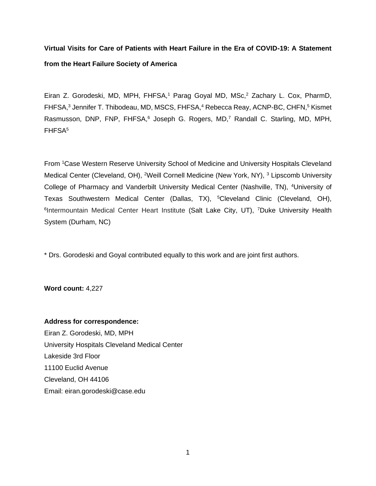# **Virtual Visits for Care of Patients with Heart Failure in the Era of COVID-19: A Statement from the Heart Failure Society of America**

Eiran Z. Gorodeski, MD, MPH, FHFSA,<sup>1</sup> Parag Goyal MD, MSc,<sup>2</sup> Zachary L. Cox, PharmD, FHFSA,<sup>3</sup> Jennifer T. Thibodeau, MD, MSCS, FHFSA,<sup>4</sup> Rebecca Reay, ACNP-BC, CHFN,<sup>5</sup> Kismet Rasmusson, DNP, FNP, FHFSA,<sup>6</sup> Joseph G. Rogers, MD,<sup>7</sup> Randall C. Starling, MD, MPH, FHFSA<sup>5</sup>

From <sup>1</sup>Case Western Reserve University School of Medicine and University Hospitals Cleveland Medical Center (Cleveland, OH), <sup>2</sup>Weill Cornell Medicine (New York, NY), <sup>3</sup> Lipscomb University College of Pharmacy and Vanderbilt University Medical Center (Nashville, TN), <sup>4</sup>University of Texas Southwestern Medical Center (Dallas, TX), <sup>5</sup>Cleveland Clinic (Cleveland, OH), <sup>6</sup>Intermountain Medical Center Heart Institute (Salt Lake City, UT), <sup>7</sup>Duke University Health System (Durham, NC)

\* Drs. Gorodeski and Goyal contributed equally to this work and are joint first authors.

**Word count:** 4,227

# **Address for correspondence:**

Eiran Z. Gorodeski, MD, MPH University Hospitals Cleveland Medical Center Lakeside 3rd Floor 11100 Euclid Avenue Cleveland, OH 44106 Email: eiran.gorodeski@case.edu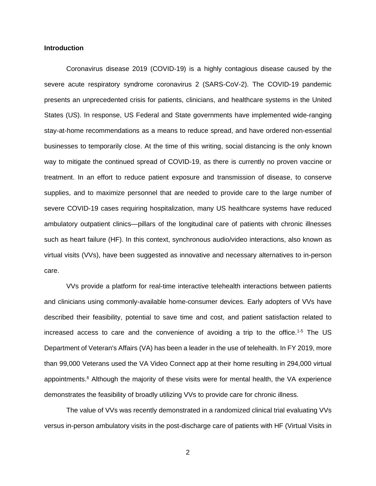#### **Introduction**

Coronavirus disease 2019 (COVID-19) is a highly contagious disease caused by the severe acute respiratory syndrome coronavirus 2 (SARS-CoV-2). The COVID-19 pandemic presents an unprecedented crisis for patients, clinicians, and healthcare systems in the United States (US). In response, US Federal and State governments have implemented wide-ranging stay-at-home recommendations as a means to reduce spread, and have ordered non-essential businesses to temporarily close. At the time of this writing, social distancing is the only known way to mitigate the continued spread of COVID-19, as there is currently no proven vaccine or treatment. In an effort to reduce patient exposure and transmission of disease, to conserve supplies, and to maximize personnel that are needed to provide care to the large number of severe COVID-19 cases requiring hospitalization, many US healthcare systems have reduced ambulatory outpatient clinics—pillars of the longitudinal care of patients with chronic illnesses such as heart failure (HF). In this context, synchronous audio/video interactions, also known as virtual visits (VVs), have been suggested as innovative and necessary alternatives to in-person care.

VVs provide a platform for real-time interactive telehealth interactions between patients and clinicians using commonly-available home-consumer devices. Early adopters of VVs have described their feasibility, potential to save time and cost, and patient satisfaction related to increased access to care and the convenience of avoiding a trip to the office.<sup>1-5</sup> The US Department of Veteran's Affairs (VA) has been a leader in the use of telehealth. In FY 2019, more than 99,000 Veterans used the VA Video Connect app at their home resulting in 294,000 virtual appointments.<sup>6</sup> Although the majority of these visits were for mental health, the VA experience demonstrates the feasibility of broadly utilizing VVs to provide care for chronic illness.

The value of VVs was recently demonstrated in a randomized clinical trial evaluating VVs versus in-person ambulatory visits in the post-discharge care of patients with HF (Virtual Visits in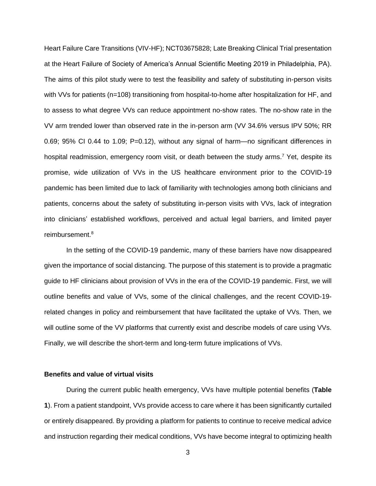Heart Failure Care Transitions (VIV-HF); NCT03675828; Late Breaking Clinical Trial presentation at the Heart Failure of Society of America's Annual Scientific Meeting 2019 in Philadelphia, PA). The aims of this pilot study were to test the feasibility and safety of substituting in-person visits with VVs for patients (n=108) transitioning from hospital-to-home after hospitalization for HF, and to assess to what degree VVs can reduce appointment no-show rates. The no-show rate in the VV arm trended lower than observed rate in the in-person arm (VV 34.6% versus IPV 50%; RR 0.69; 95% CI 0.44 to 1.09; P=0.12), without any signal of harm—no significant differences in hospital readmission, emergency room visit, or death between the study arms.<sup>7</sup> Yet, despite its promise, wide utilization of VVs in the US healthcare environment prior to the COVID-19 pandemic has been limited due to lack of familiarity with technologies among both clinicians and patients, concerns about the safety of substituting in-person visits with VVs, lack of integration into clinicians' established workflows, perceived and actual legal barriers, and limited payer reimbursement.<sup>8</sup>

In the setting of the COVID-19 pandemic, many of these barriers have now disappeared given the importance of social distancing. The purpose of this statement is to provide a pragmatic guide to HF clinicians about provision of VVs in the era of the COVID-19 pandemic. First, we will outline benefits and value of VVs, some of the clinical challenges, and the recent COVID-19 related changes in policy and reimbursement that have facilitated the uptake of VVs. Then, we will outline some of the VV platforms that currently exist and describe models of care using VVs. Finally, we will describe the short-term and long-term future implications of VVs.

## **Benefits and value of virtual visits**

During the current public health emergency, VVs have multiple potential benefits (**Table 1**). From a patient standpoint, VVs provide access to care where it has been significantly curtailed or entirely disappeared. By providing a platform for patients to continue to receive medical advice and instruction regarding their medical conditions, VVs have become integral to optimizing health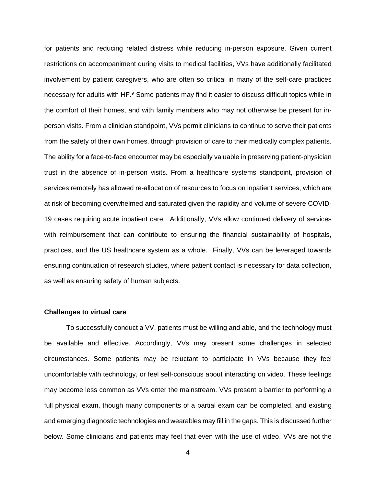for patients and reducing related distress while reducing in-person exposure. Given current restrictions on accompaniment during visits to medical facilities, VVs have additionally facilitated involvement by patient caregivers, who are often so critical in many of the self-care practices necessary for adults with HF.<sup>9</sup> Some patients may find it easier to discuss difficult topics while in the comfort of their homes, and with family members who may not otherwise be present for inperson visits. From a clinician standpoint, VVs permit clinicians to continue to serve their patients from the safety of their own homes, through provision of care to their medically complex patients. The ability for a face-to-face encounter may be especially valuable in preserving patient-physician trust in the absence of in-person visits. From a healthcare systems standpoint, provision of services remotely has allowed re-allocation of resources to focus on inpatient services, which are at risk of becoming overwhelmed and saturated given the rapidity and volume of severe COVID-19 cases requiring acute inpatient care. Additionally, VVs allow continued delivery of services with reimbursement that can contribute to ensuring the financial sustainability of hospitals, practices, and the US healthcare system as a whole. Finally, VVs can be leveraged towards ensuring continuation of research studies, where patient contact is necessary for data collection, as well as ensuring safety of human subjects.

#### **Challenges to virtual care**

To successfully conduct a VV, patients must be willing and able, and the technology must be available and effective. Accordingly, VVs may present some challenges in selected circumstances. Some patients may be reluctant to participate in VVs because they feel uncomfortable with technology, or feel self-conscious about interacting on video. These feelings may become less common as VVs enter the mainstream. VVs present a barrier to performing a full physical exam, though many components of a partial exam can be completed, and existing and emerging diagnostic technologies and wearables may fill in the gaps. This is discussed further below. Some clinicians and patients may feel that even with the use of video, VVs are not the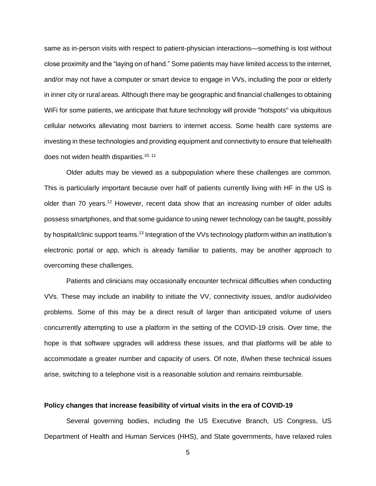same as in-person visits with respect to patient-physician interactions—something is lost without close proximity and the "laying on of hand." Some patients may have limited access to the internet, and/or may not have a computer or smart device to engage in VVs, including the poor or elderly in inner city or rural areas. Although there may be geographic and financial challenges to obtaining WiFi for some patients, we anticipate that future technology will provide "hotspots" via ubiquitous cellular networks alleviating most barriers to internet access. Some health care systems are investing in these technologies and providing equipment and connectivity to ensure that telehealth does not widen health disparities.<sup>10, 11</sup>

Older adults may be viewed as a subpopulation where these challenges are common. This is particularly important because over half of patients currently living with HF in the US is older than 70 years.<sup>12</sup> However, recent data show that an increasing number of older adults possess smartphones, and that some guidance to using newer technology can be taught, possibly by hospital/clinic support teams.<sup>13</sup> Integration of the VVs technology platform within an institution's electronic portal or app, which is already familiar to patients, may be another approach to overcoming these challenges.

Patients and clinicians may occasionally encounter technical difficulties when conducting VVs. These may include an inability to initiate the VV, connectivity issues, and/or audio/video problems. Some of this may be a direct result of larger than anticipated volume of users concurrently attempting to use a platform in the setting of the COVID-19 crisis. Over time, the hope is that software upgrades will address these issues, and that platforms will be able to accommodate a greater number and capacity of users. Of note, if/when these technical issues arise, switching to a telephone visit is a reasonable solution and remains reimbursable.

## **Policy changes that increase feasibility of virtual visits in the era of COVID-19**

Several governing bodies, including the US Executive Branch, US Congress, US Department of Health and Human Services (HHS), and State governments, have relaxed rules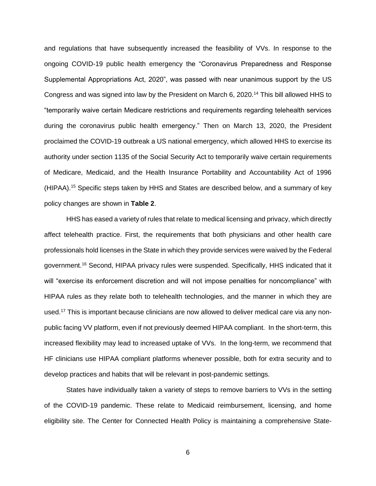and regulations that have subsequently increased the feasibility of VVs. In response to the ongoing COVID-19 public health emergency the "Coronavirus Preparedness and Response Supplemental Appropriations Act, 2020", was passed with near unanimous support by the US Congress and was signed into law by the President on March 6, 2020.<sup>14</sup> This bill allowed HHS to "temporarily waive certain Medicare restrictions and requirements regarding telehealth services during the coronavirus public health emergency." Then on March 13, 2020, the President proclaimed the COVID-19 outbreak a US national emergency, which allowed HHS to exercise its authority under section 1135 of the Social Security Act to temporarily waive certain requirements of Medicare, Medicaid, and the Health Insurance Portability and Accountability Act of 1996 (HIPAA).<sup>15</sup> Specific steps taken by HHS and States are described below, and a summary of key policy changes are shown in **Table 2**.

HHS has eased a variety of rules that relate to medical licensing and privacy, which directly affect telehealth practice. First, the requirements that both physicians and other health care professionals hold licenses in the State in which they provide services were waived by the Federal government.<sup>16</sup> Second, HIPAA privacy rules were suspended. Specifically, HHS indicated that it will "exercise its enforcement discretion and will not impose penalties for noncompliance" with HIPAA rules as they relate both to telehealth technologies, and the manner in which they are used.<sup>17</sup> This is important because clinicians are now allowed to deliver medical care via any nonpublic facing VV platform, even if not previously deemed HIPAA compliant. In the short-term, this increased flexibility may lead to increased uptake of VVs. In the long-term, we recommend that HF clinicians use HIPAA compliant platforms whenever possible, both for extra security and to develop practices and habits that will be relevant in post-pandemic settings.

States have individually taken a variety of steps to remove barriers to VVs in the setting of the COVID-19 pandemic. These relate to Medicaid reimbursement, licensing, and home eligibility site. The Center for Connected Health Policy is maintaining a comprehensive State-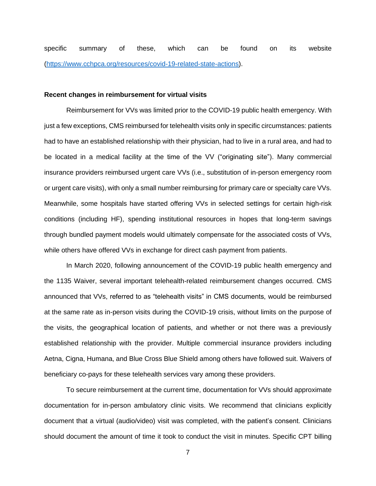specific summary of these, which can be found on its website [\(https://www.cchpca.org/resources/covid-19-related-state-actions\)](https://www.cchpca.org/resources/covid-19-related-state-actions).

#### **Recent changes in reimbursement for virtual visits**

Reimbursement for VVs was limited prior to the COVID-19 public health emergency. With just a few exceptions, CMS reimbursed for telehealth visits only in specific circumstances: patients had to have an established relationship with their physician, had to live in a rural area, and had to be located in a medical facility at the time of the VV ("originating site"). Many commercial insurance providers reimbursed urgent care VVs (i.e., substitution of in-person emergency room or urgent care visits), with only a small number reimbursing for primary care or specialty care VVs. Meanwhile, some hospitals have started offering VVs in selected settings for certain high-risk conditions (including HF), spending institutional resources in hopes that long-term savings through bundled payment models would ultimately compensate for the associated costs of VVs, while others have offered VVs in exchange for direct cash payment from patients.

In March 2020, following announcement of the COVID-19 public health emergency and the 1135 Waiver, several important telehealth-related reimbursement changes occurred. CMS announced that VVs, referred to as "telehealth visits" in CMS documents, would be reimbursed at the same rate as in-person visits during the COVID-19 crisis, without limits on the purpose of the visits, the geographical location of patients, and whether or not there was a previously established relationship with the provider. Multiple commercial insurance providers including Aetna, Cigna, Humana, and Blue Cross Blue Shield among others have followed suit. Waivers of beneficiary co-pays for these telehealth services vary among these providers.

To secure reimbursement at the current time, documentation for VVs should approximate documentation for in-person ambulatory clinic visits. We recommend that clinicians explicitly document that a virtual (audio/video) visit was completed, with the patient's consent. Clinicians should document the amount of time it took to conduct the visit in minutes. Specific CPT billing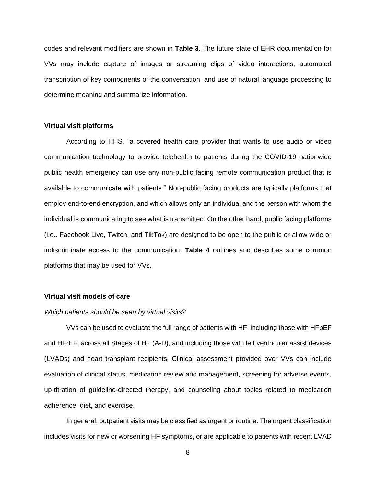codes and relevant modifiers are shown in **Table 3**. The future state of EHR documentation for VVs may include capture of images or streaming clips of video interactions, automated transcription of key components of the conversation, and use of natural language processing to determine meaning and summarize information.

# **Virtual visit platforms**

According to HHS, "a covered health care provider that wants to use audio or video communication technology to provide telehealth to patients during the COVID-19 nationwide public health emergency can use any non-public facing remote communication product that is available to communicate with patients." Non-public facing products are typically platforms that employ end-to-end encryption, and which allows only an individual and the person with whom the individual is communicating to see what is transmitted. On the other hand, public facing platforms (i.e., Facebook Live, Twitch, and TikTok) are designed to be open to the public or allow wide or indiscriminate access to the communication. **Table 4** outlines and describes some common platforms that may be used for VVs.

## **Virtual visit models of care**

#### *Which patients should be seen by virtual visits?*

VVs can be used to evaluate the full range of patients with HF, including those with HFpEF and HFrEF, across all Stages of HF (A-D), and including those with left ventricular assist devices (LVADs) and heart transplant recipients. Clinical assessment provided over VVs can include evaluation of clinical status, medication review and management, screening for adverse events, up-titration of guideline-directed therapy, and counseling about topics related to medication adherence, diet, and exercise.

In general, outpatient visits may be classified as urgent or routine. The urgent classification includes visits for new or worsening HF symptoms, or are applicable to patients with recent LVAD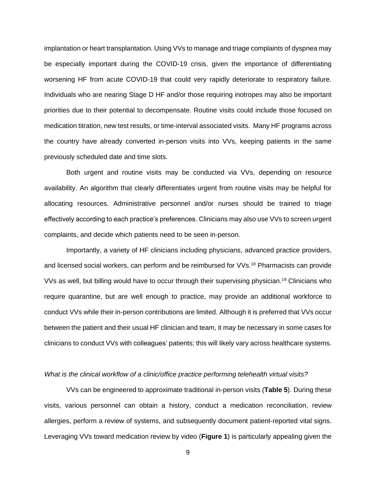implantation or heart transplantation. Using VVs to manage and triage complaints of dyspnea may be especially important during the COVID-19 crisis, given the importance of differentiating worsening HF from acute COVID-19 that could very rapidly deteriorate to respiratory failure. Individuals who are nearing Stage D HF and/or those requiring inotropes may also be important priorities due to their potential to decompensate. Routine visits could include those focused on medication titration, new test results, or time-interval associated visits. Many HF programs across the country have already converted in-person visits into VVs, keeping patients in the same previously scheduled date and time slots.

Both urgent and routine visits may be conducted via VVs, depending on resource availability. An algorithm that clearly differentiates urgent from routine visits may be helpful for allocating resources. Administrative personnel and/or nurses should be trained to triage effectively according to each practice's preferences. Clinicians may also use VVs to screen urgent complaints, and decide which patients need to be seen in-person.

Importantly, a variety of HF clinicians including physicians, advanced practice providers, and licensed social workers, can perform and be reimbursed for VVs. <sup>18</sup> Pharmacists can provide VVs as well, but billing would have to occur through their supervising physician.<sup>19</sup> Clinicians who require quarantine, but are well enough to practice, may provide an additional workforce to conduct VVs while their in-person contributions are limited. Although it is preferred that VVs occur between the patient and their usual HF clinician and team, it may be necessary in some cases for clinicians to conduct VVs with colleagues' patients; this will likely vary across healthcare systems.

#### *What is the clinical workflow of a clinic/office practice performing telehealth virtual visits?*

VVs can be engineered to approximate traditional in-person visits (**Table 5**). During these visits, various personnel can obtain a history, conduct a medication reconciliation, review allergies, perform a review of systems, and subsequently document patient-reported vital signs. Leveraging VVs toward medication review by video (**Figure 1**) is particularly appealing given the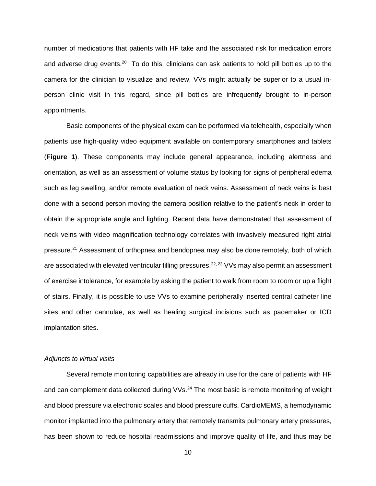number of medications that patients with HF take and the associated risk for medication errors and adverse drug events.<sup>20</sup> To do this, clinicians can ask patients to hold pill bottles up to the camera for the clinician to visualize and review. VVs might actually be superior to a usual inperson clinic visit in this regard, since pill bottles are infrequently brought to in-person appointments.

Basic components of the physical exam can be performed via telehealth, especially when patients use high-quality video equipment available on contemporary smartphones and tablets (**Figure 1**). These components may include general appearance, including alertness and orientation, as well as an assessment of volume status by looking for signs of peripheral edema such as leg swelling, and/or remote evaluation of neck veins. Assessment of neck veins is best done with a second person moving the camera position relative to the patient's neck in order to obtain the appropriate angle and lighting. Recent data have demonstrated that assessment of neck veins with video magnification technology correlates with invasively measured right atrial pressure.<sup>21</sup> Assessment of orthopnea and bendopnea may also be done remotely, both of which are associated with elevated ventricular filling pressures.<sup>22, 23</sup> VVs may also permit an assessment of exercise intolerance, for example by asking the patient to walk from room to room or up a flight of stairs. Finally, it is possible to use VVs to examine peripherally inserted central catheter line sites and other cannulae, as well as healing surgical incisions such as pacemaker or ICD implantation sites.

## *Adjuncts to virtual visits*

Several remote monitoring capabilities are already in use for the care of patients with HF and can complement data collected during VVs.<sup>24</sup> The most basic is remote monitoring of weight and blood pressure via electronic scales and blood pressure cuffs. CardioMEMS, a hemodynamic monitor implanted into the pulmonary artery that remotely transmits pulmonary artery pressures, has been shown to reduce hospital readmissions and improve quality of life, and thus may be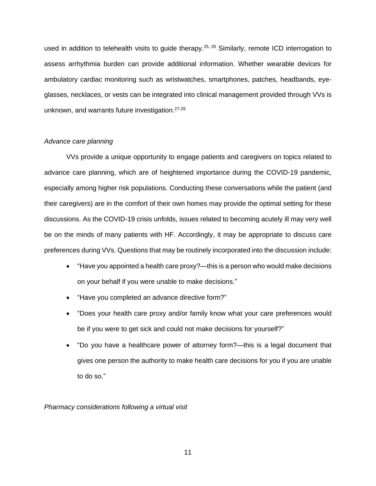used in addition to telehealth visits to guide therapy.<sup>25, 26</sup> Similarly, remote ICD interrogation to assess arrhythmia burden can provide additional information. Whether wearable devices for ambulatory cardiac monitoring such as wristwatches, smartphones, patches, headbands, eyeglasses, necklaces, or vests can be integrated into clinical management provided through VVs is unknown, and warrants future investigation.<sup>27-29</sup>

## *Advance care planning*

VVs provide a unique opportunity to engage patients and caregivers on topics related to advance care planning, which are of heightened importance during the COVID-19 pandemic, especially among higher risk populations. Conducting these conversations while the patient (and their caregivers) are in the comfort of their own homes may provide the optimal setting for these discussions. As the COVID-19 crisis unfolds, issues related to becoming acutely ill may very well be on the minds of many patients with HF. Accordingly, it may be appropriate to discuss care preferences during VVs. Questions that may be routinely incorporated into the discussion include:

- "Have you appointed a health care proxy?—this is a person who would make decisions on your behalf if you were unable to make decisions."
- "Have you completed an advance directive form?"
- "Does your health care proxy and/or family know what your care preferences would be if you were to get sick and could not make decisions for yourself?"
- "Do you have a healthcare power of attorney form?—this is a legal document that gives one person the authority to make health care decisions for you if you are unable to do so."

*Pharmacy considerations following a virtual visit*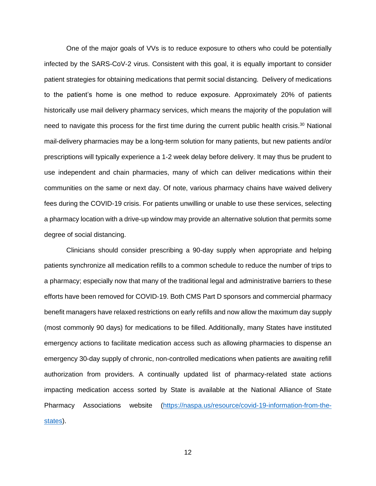One of the major goals of VVs is to reduce exposure to others who could be potentially infected by the SARS-CoV-2 virus. Consistent with this goal, it is equally important to consider patient strategies for obtaining medications that permit social distancing. Delivery of medications to the patient's home is one method to reduce exposure. Approximately 20% of patients historically use mail delivery pharmacy services, which means the majority of the population will need to navigate this process for the first time during the current public health crisis.<sup>30</sup> National mail-delivery pharmacies may be a long-term solution for many patients, but new patients and/or prescriptions will typically experience a 1-2 week delay before delivery. It may thus be prudent to use independent and chain pharmacies, many of which can deliver medications within their communities on the same or next day. Of note, various pharmacy chains have waived delivery fees during the COVID-19 crisis. For patients unwilling or unable to use these services, selecting a pharmacy location with a drive-up window may provide an alternative solution that permits some degree of social distancing.

Clinicians should consider prescribing a 90-day supply when appropriate and helping patients synchronize all medication refills to a common schedule to reduce the number of trips to a pharmacy; especially now that many of the traditional legal and administrative barriers to these efforts have been removed for COVID-19. Both CMS Part D sponsors and commercial pharmacy benefit managers have relaxed restrictions on early refills and now allow the maximum day supply (most commonly 90 days) for medications to be filled. Additionally, many States have instituted emergency actions to facilitate medication access such as allowing pharmacies to dispense an emergency 30-day supply of chronic, non-controlled medications when patients are awaiting refill authorization from providers. A continually updated list of pharmacy-related state actions impacting medication access sorted by State is available at the National Alliance of State Pharmacy Associations website [\(https://naspa.us/resource/covid-19-information-from-the](https://naspa.us/resource/covid-19-information-from-the-states)[states\)](https://naspa.us/resource/covid-19-information-from-the-states).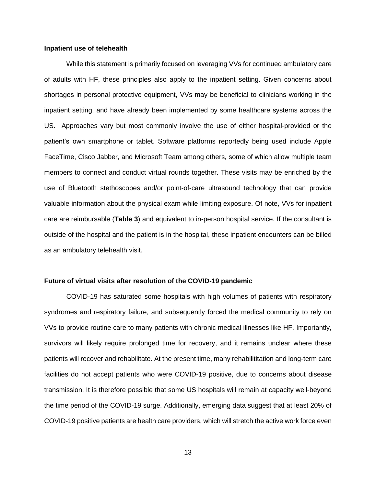#### **Inpatient use of telehealth**

While this statement is primarily focused on leveraging VVs for continued ambulatory care of adults with HF, these principles also apply to the inpatient setting. Given concerns about shortages in personal protective equipment, VVs may be beneficial to clinicians working in the inpatient setting, and have already been implemented by some healthcare systems across the US. Approaches vary but most commonly involve the use of either hospital-provided or the patient's own smartphone or tablet. Software platforms reportedly being used include Apple FaceTime, Cisco Jabber, and Microsoft Team among others, some of which allow multiple team members to connect and conduct virtual rounds together. These visits may be enriched by the use of Bluetooth stethoscopes and/or point-of-care ultrasound technology that can provide valuable information about the physical exam while limiting exposure. Of note, VVs for inpatient care are reimbursable (**Table 3**) and equivalent to in-person hospital service. If the consultant is outside of the hospital and the patient is in the hospital, these inpatient encounters can be billed as an ambulatory telehealth visit.

## **Future of virtual visits after resolution of the COVID-19 pandemic**

COVID-19 has saturated some hospitals with high volumes of patients with respiratory syndromes and respiratory failure, and subsequently forced the medical community to rely on VVs to provide routine care to many patients with chronic medical illnesses like HF. Importantly, survivors will likely require prolonged time for recovery, and it remains unclear where these patients will recover and rehabilitate. At the present time, many rehabilititation and long-term care facilities do not accept patients who were COVID-19 positive, due to concerns about disease transmission. It is therefore possible that some US hospitals will remain at capacity well-beyond the time period of the COVID-19 surge. Additionally, emerging data suggest that at least 20% of COVID-19 positive patients are health care providers, which will stretch the active work force even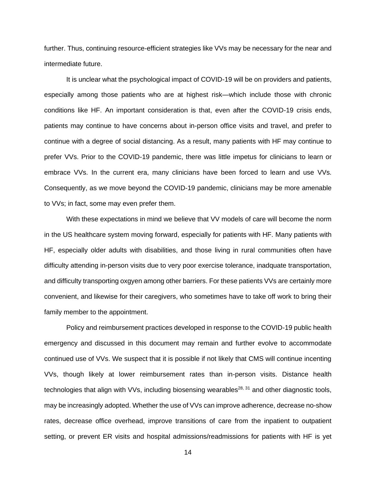further. Thus, continuing resource-efficient strategies like VVs may be necessary for the near and intermediate future.

It is unclear what the psychological impact of COVID-19 will be on providers and patients, especially among those patients who are at highest risk—which include those with chronic conditions like HF. An important consideration is that, even after the COVID-19 crisis ends, patients may continue to have concerns about in-person office visits and travel, and prefer to continue with a degree of social distancing. As a result, many patients with HF may continue to prefer VVs. Prior to the COVID-19 pandemic, there was little impetus for clinicians to learn or embrace VVs. In the current era, many clinicians have been forced to learn and use VVs. Consequently, as we move beyond the COVID-19 pandemic, clinicians may be more amenable to VVs; in fact, some may even prefer them.

With these expectations in mind we believe that VV models of care will become the norm in the US healthcare system moving forward, especially for patients with HF. Many patients with HF, especially older adults with disabilities, and those living in rural communities often have difficulty attending in-person visits due to very poor exercise tolerance, inadquate transportation, and difficulty transporting oxgyen among other barriers. For these patients VVs are certainly more convenient, and likewise for their caregivers, who sometimes have to take off work to bring their family member to the appointment.

Policy and reimbursement practices developed in response to the COVID-19 public health emergency and discussed in this document may remain and further evolve to accommodate continued use of VVs. We suspect that it is possible if not likely that CMS will continue incenting VVs, though likely at lower reimbursement rates than in-person visits. Distance health technologies that align with VVs, including biosensing wearables<sup>28, 31</sup> and other diagnostic tools, may be increasingly adopted. Whether the use of VVs can improve adherence, decrease no-show rates, decrease office overhead, improve transitions of care from the inpatient to outpatient setting, or prevent ER visits and hospital admissions/readmissions for patients with HF is yet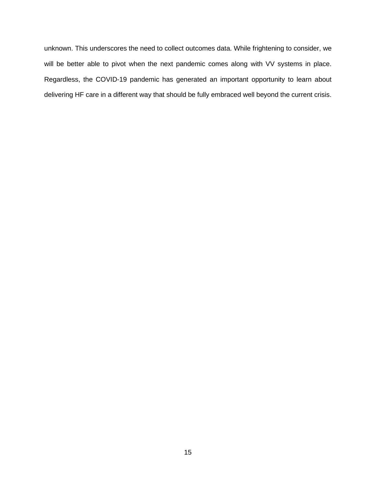unknown. This underscores the need to collect outcomes data. While frightening to consider, we will be better able to pivot when the next pandemic comes along with VV systems in place. Regardless, the COVID-19 pandemic has generated an important opportunity to learn about delivering HF care in a different way that should be fully embraced well beyond the current crisis.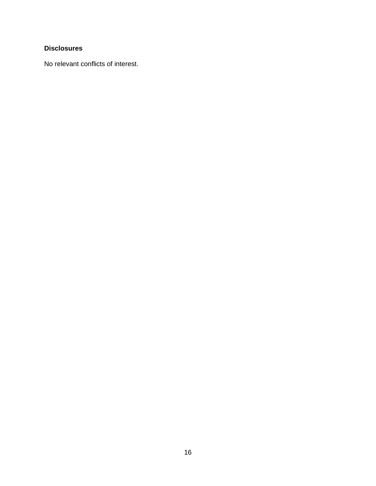# **Disclosures**

No relevant conflicts of interest.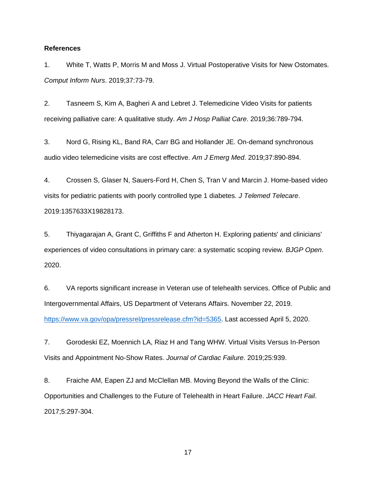## **References**

1. White T, Watts P, Morris M and Moss J. Virtual Postoperative Visits for New Ostomates. *Comput Inform Nurs*. 2019;37:73-79.

2. Tasneem S, Kim A, Bagheri A and Lebret J. Telemedicine Video Visits for patients receiving palliative care: A qualitative study. *Am J Hosp Palliat Care*. 2019;36:789-794.

3. Nord G, Rising KL, Band RA, Carr BG and Hollander JE. On-demand synchronous audio video telemedicine visits are cost effective. *Am J Emerg Med*. 2019;37:890-894.

4. Crossen S, Glaser N, Sauers-Ford H, Chen S, Tran V and Marcin J. Home-based video visits for pediatric patients with poorly controlled type 1 diabetes. *J Telemed Telecare*. 2019:1357633X19828173.

5. Thiyagarajan A, Grant C, Griffiths F and Atherton H. Exploring patients' and clinicians' experiences of video consultations in primary care: a systematic scoping review. *BJGP Open*. 2020.

6. VA reports significant increase in Veteran use of telehealth services. Office of Public and Intergovernmental Affairs, US Department of Veterans Affairs. November 22, 2019. [https://www.va.gov/opa/pressrel/pressrelease.cfm?id=5365.](https://www.va.gov/opa/pressrel/pressrelease.cfm?id=5365) Last accessed April 5, 2020.

7. Gorodeski EZ, Moennich LA, Riaz H and Tang WHW. Virtual Visits Versus In-Person Visits and Appointment No-Show Rates. *Journal of Cardiac Failure*. 2019;25:939.

8. Fraiche AM, Eapen ZJ and McClellan MB. Moving Beyond the Walls of the Clinic: Opportunities and Challenges to the Future of Telehealth in Heart Failure. *JACC Heart Fail*. 2017;5:297-304.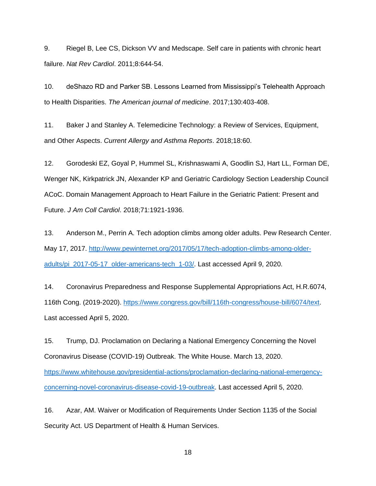9. Riegel B, Lee CS, Dickson VV and Medscape. Self care in patients with chronic heart failure. *Nat Rev Cardiol*. 2011;8:644-54.

10. deShazo RD and Parker SB. Lessons Learned from Mississippi's Telehealth Approach to Health Disparities. *The American journal of medicine*. 2017;130:403-408.

11. Baker J and Stanley A. Telemedicine Technology: a Review of Services, Equipment, and Other Aspects. *Current Allergy and Asthma Reports*. 2018;18:60.

12. Gorodeski EZ, Goyal P, Hummel SL, Krishnaswami A, Goodlin SJ, Hart LL, Forman DE, Wenger NK, Kirkpatrick JN, Alexander KP and Geriatric Cardiology Section Leadership Council ACoC. Domain Management Approach to Heart Failure in the Geriatric Patient: Present and Future. *J Am Coll Cardiol*. 2018;71:1921-1936.

13. Anderson M., Perrin A. Tech adoption climbs among older adults. Pew Research Center. May 17, 2017. [http://www.pewinternet.org/2017/05/17/tech-adoption-climbs-among-older](http://www.pewinternet.org/2017/05/17/tech-adoption-climbs-among-older-adults/pi_2017-05-17_older-americans-tech_1-03/)[adults/pi\\_2017-05-17\\_older-americans-tech\\_1-03/.](http://www.pewinternet.org/2017/05/17/tech-adoption-climbs-among-older-adults/pi_2017-05-17_older-americans-tech_1-03/) Last accessed April 9, 2020.

14. Coronavirus Preparedness and Response Supplemental Appropriations Act, H.R.6074, 116th Cong. (2019-2020). [https://www.congress.gov/bill/116th-congress/house-bill/6074/text.](https://www.congress.gov/bill/116th-congress/house-bill/6074/text) Last accessed April 5, 2020.

15. Trump, DJ. Proclamation on Declaring a National Emergency Concerning the Novel Coronavirus Disease (COVID-19) Outbreak. The White House. March 13, 2020. [https://www.whitehouse.gov/presidential-actions/proclamation-declaring-national-emergency](https://www.whitehouse.gov/presidential-actions/proclamation-declaring-national-emergency-concerning-novel-coronavirus-disease-covid-19-outbreak)[concerning-novel-coronavirus-disease-covid-19-outbreak.](https://www.whitehouse.gov/presidential-actions/proclamation-declaring-national-emergency-concerning-novel-coronavirus-disease-covid-19-outbreak) Last accessed April 5, 2020.

16. Azar, AM. Waiver or Modification of Requirements Under Section 1135 of the Social Security Act. US Department of Health & Human Services.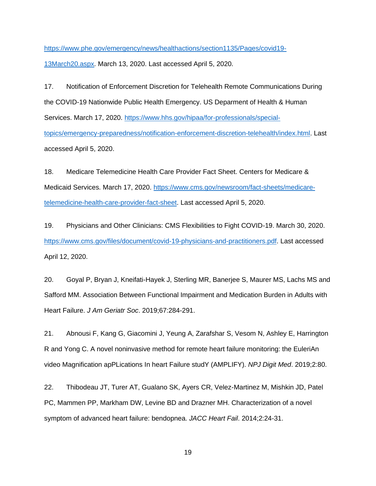[https://www.phe.gov/emergency/news/healthactions/section1135/Pages/covid19-](https://www.phe.gov/emergency/news/healthactions/section1135/Pages/covid19-13March20.aspx)

[13March20.aspx.](https://www.phe.gov/emergency/news/healthactions/section1135/Pages/covid19-13March20.aspx) March 13, 2020. Last accessed April 5, 2020.

17. Notification of Enforcement Discretion for Telehealth Remote Communications During the COVID-19 Nationwide Public Health Emergency. US Deparment of Health & Human Services. March 17, 2020. [https://www.hhs.gov/hipaa/for-professionals/special](https://www.hhs.gov/hipaa/for-professionals/special-topics/emergency-preparedness/notification-enforcement-discretion-telehealth/index.html)[topics/emergency-preparedness/notification-enforcement-discretion-telehealth/index.html.](https://www.hhs.gov/hipaa/for-professionals/special-topics/emergency-preparedness/notification-enforcement-discretion-telehealth/index.html) Last accessed April 5, 2020.

18. Medicare Telemedicine Health Care Provider Fact Sheet. Centers for Medicare & Medicaid Services. March 17, 2020. [https://www.cms.gov/newsroom/fact-sheets/medicare](https://www.cms.gov/newsroom/fact-sheets/medicare-telemedicine-health-care-provider-fact-sheet)[telemedicine-health-care-provider-fact-sheet.](https://www.cms.gov/newsroom/fact-sheets/medicare-telemedicine-health-care-provider-fact-sheet) Last accessed April 5, 2020.

19. Physicians and Other Clinicians: CMS Flexibilities to Fight COVID-19. March 30, 2020. [https://www.cms.gov/files/document/covid-19-physicians-and-practitioners.pdf.](https://www.cms.gov/files/document/covid-19-physicians-and-practitioners.pdf) Last accessed April 12, 2020.

20. Goyal P, Bryan J, Kneifati-Hayek J, Sterling MR, Banerjee S, Maurer MS, Lachs MS and Safford MM. Association Between Functional Impairment and Medication Burden in Adults with Heart Failure. *J Am Geriatr Soc*. 2019;67:284-291.

21. Abnousi F, Kang G, Giacomini J, Yeung A, Zarafshar S, Vesom N, Ashley E, Harrington R and Yong C. A novel noninvasive method for remote heart failure monitoring: the EuleriAn video Magnification apPLications In heart Failure studY (AMPLIFY). *NPJ Digit Med*. 2019;2:80.

22. Thibodeau JT, Turer AT, Gualano SK, Ayers CR, Velez-Martinez M, Mishkin JD, Patel PC, Mammen PP, Markham DW, Levine BD and Drazner MH. Characterization of a novel symptom of advanced heart failure: bendopnea. *JACC Heart Fail*. 2014;2:24-31.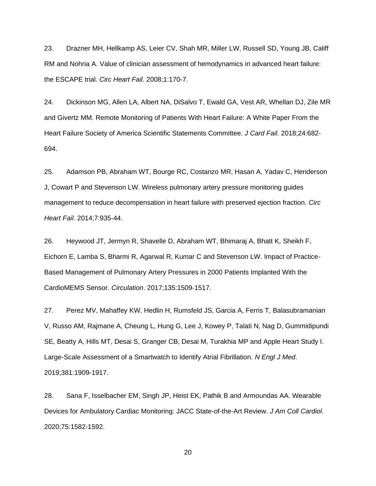23. Drazner MH, Hellkamp AS, Leier CV, Shah MR, Miller LW, Russell SD, Young JB, Califf RM and Nohria A. Value of clinician assessment of hemodynamics in advanced heart failure: the ESCAPE trial. *Circ Heart Fail*. 2008;1:170-7.

24. Dickinson MG, Allen LA, Albert NA, DiSalvo T, Ewald GA, Vest AR, Whellan DJ, Zile MR and Givertz MM. Remote Monitoring of Patients With Heart Failure: A White Paper From the Heart Failure Society of America Scientific Statements Committee. *J Card Fail*. 2018;24:682- 694.

25. Adamson PB, Abraham WT, Bourge RC, Costanzo MR, Hasan A, Yadav C, Henderson J, Cowart P and Stevenson LW. Wireless pulmonary artery pressure monitoring guides management to reduce decompensation in heart failure with preserved ejection fraction. *Circ Heart Fail*. 2014;7:935-44.

26. Heywood JT, Jermyn R, Shavelle D, Abraham WT, Bhimaraj A, Bhatt K, Sheikh F, Eichorn E, Lamba S, Bharmi R, Agarwal R, Kumar C and Stevenson LW. Impact of Practice-Based Management of Pulmonary Artery Pressures in 2000 Patients Implanted With the CardioMEMS Sensor. *Circulation*. 2017;135:1509-1517.

27. Perez MV, Mahaffey KW, Hedlin H, Rumsfeld JS, Garcia A, Ferris T, Balasubramanian V, Russo AM, Rajmane A, Cheung L, Hung G, Lee J, Kowey P, Talati N, Nag D, Gummidipundi SE, Beatty A, Hills MT, Desai S, Granger CB, Desai M, Turakhia MP and Apple Heart Study I. Large-Scale Assessment of a Smartwatch to Identify Atrial Fibrillation. *N Engl J Med*. 2019;381:1909-1917.

28. Sana F, Isselbacher EM, Singh JP, Heist EK, Pathik B and Armoundas AA. Wearable Devices for Ambulatory Cardiac Monitoring: JACC State-of-the-Art Review. *J Am Coll Cardiol*. 2020;75:1582-1592.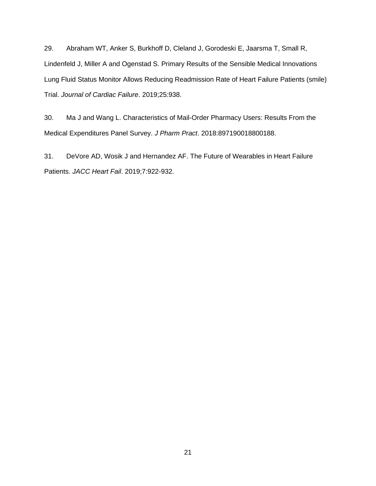29. Abraham WT, Anker S, Burkhoff D, Cleland J, Gorodeski E, Jaarsma T, Small R, Lindenfeld J, Miller A and Ogenstad S. Primary Results of the Sensible Medical Innovations Lung Fluid Status Monitor Allows Reducing Readmission Rate of Heart Failure Patients (smile) Trial. *Journal of Cardiac Failure*. 2019;25:938.

30. Ma J and Wang L. Characteristics of Mail-Order Pharmacy Users: Results From the Medical Expenditures Panel Survey. *J Pharm Pract*. 2018:897190018800188.

31. DeVore AD, Wosik J and Hernandez AF. The Future of Wearables in Heart Failure Patients. *JACC Heart Fail*. 2019;7:922-932.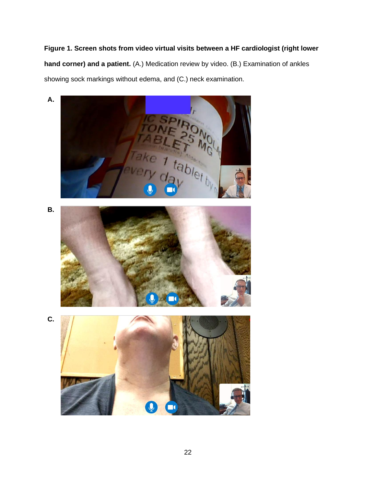# **Figure 1. Screen shots from video virtual visits between a HF cardiologist (right lower hand corner) and a patient.** (A.) Medication review by video. (B.) Examination of ankles showing sock markings without edema, and (C.) neck examination.

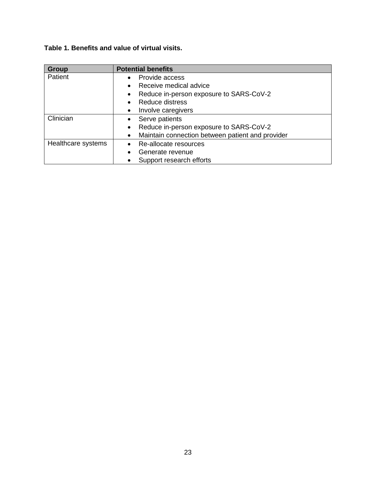# **Table 1. Benefits and value of virtual visits.**

| <b>Group</b>       | <b>Potential benefits</b>                                     |
|--------------------|---------------------------------------------------------------|
| Patient            | Provide access                                                |
|                    | Receive medical advice                                        |
|                    | Reduce in-person exposure to SARS-CoV-2<br>$\bullet$          |
|                    | <b>Reduce distress</b>                                        |
|                    | Involve caregivers<br>$\bullet$                               |
| Clinician          | Serve patients                                                |
|                    | Reduce in-person exposure to SARS-CoV-2<br>$\bullet$          |
|                    | Maintain connection between patient and provider<br>$\bullet$ |
| Healthcare systems | Re-allocate resources                                         |
|                    | Generate revenue                                              |
|                    | Support research efforts                                      |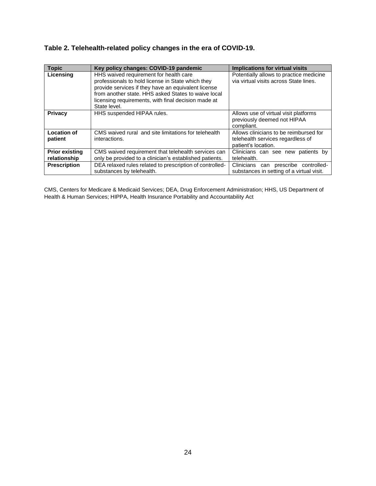| Table 2. Telehealth-related policy changes in the era of COVID-19. |  |  |  |  |
|--------------------------------------------------------------------|--|--|--|--|
|--------------------------------------------------------------------|--|--|--|--|

| <b>Topic</b>                          | Key policy changes: COVID-19 pandemic                                                                                                                                                                                                                                            | Implications for virtual visits                                                                    |
|---------------------------------------|----------------------------------------------------------------------------------------------------------------------------------------------------------------------------------------------------------------------------------------------------------------------------------|----------------------------------------------------------------------------------------------------|
| Licensing                             | HHS waived requirement for health care<br>professionals to hold license in State which they<br>provide services if they have an equivalent license<br>from another state. HHS asked States to waive local<br>licensing requirements, with final decision made at<br>State level. | Potentially allows to practice medicine<br>via virtual visits across State lines.                  |
| Privacy                               | HHS suspended HIPAA rules.                                                                                                                                                                                                                                                       | Allows use of virtual visit platforms<br>previously deemed not HIPAA<br>compliant.                 |
| <b>Location of</b><br>patient         | CMS waived rural and site limitations for telehealth<br>interactions.                                                                                                                                                                                                            | Allows clinicians to be reimbursed for<br>telehealth services regardless of<br>patient's location. |
| <b>Prior existing</b><br>relationship | CMS waived requirement that telehealth services can<br>only be provided to a clinician's established patients.                                                                                                                                                                   | Clinicians can see new patients by<br>telehealth.                                                  |
| <b>Prescription</b>                   | DEA relaxed rules related to prescription of controlled-<br>substances by telehealth.                                                                                                                                                                                            | Clinicians can prescribe controlled-<br>substances in setting of a virtual visit.                  |

CMS, Centers for Medicare & Medicaid Services; DEA, Drug Enforcement Administration; HHS, US Department of Health & Human Services; HIPPA, Health Insurance Portability and Accountability Act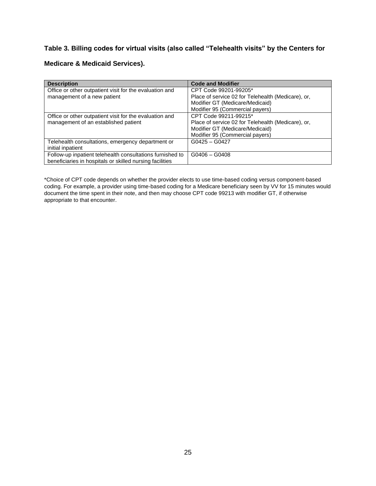# **Table 3. Billing codes for virtual visits (also called "Telehealth visits" by the Centers for**

# **Medicare & Medicaid Services).**

| <b>Description</b>                                        | <b>Code and Modifier</b>                           |
|-----------------------------------------------------------|----------------------------------------------------|
| Office or other outpatient visit for the evaluation and   | CPT Code 99201-99205*                              |
| management of a new patient                               | Place of service 02 for Telehealth (Medicare), or, |
|                                                           | Modifier GT (Medicare/Medicaid)                    |
|                                                           | Modifier 95 (Commercial payers)                    |
| Office or other outpatient visit for the evaluation and   | CPT Code 99211-99215*                              |
| management of an established patient                      | Place of service 02 for Telehealth (Medicare), or, |
|                                                           | Modifier GT (Medicare/Medicaid)                    |
|                                                           | Modifier 95 (Commercial payers)                    |
| Telehealth consultations, emergency department or         | $G0425 - G0427$                                    |
| initial inpatient                                         |                                                    |
| Follow-up inpatient telehealth consultations furnished to | $G0406 - G0408$                                    |
| beneficiaries in hospitals or skilled nursing facilities  |                                                    |

\*Choice of CPT code depends on whether the provider elects to use time-based coding versus component-based coding. For example, a provider using time-based coding for a Medicare beneficiary seen by VV for 15 minutes would document the time spent in their note, and then may choose CPT code 99213 with modifier GT, if otherwise appropriate to that encounter.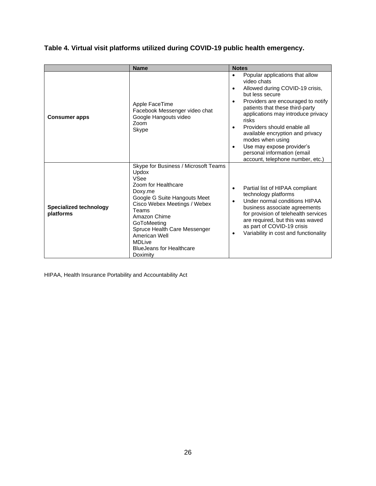|                                            | <b>Name</b>                                                                                                                                                                                                                                                                                                             | <b>Notes</b>                                                                                                                                                                                                                                                                                                                                                                                                                                                            |
|--------------------------------------------|-------------------------------------------------------------------------------------------------------------------------------------------------------------------------------------------------------------------------------------------------------------------------------------------------------------------------|-------------------------------------------------------------------------------------------------------------------------------------------------------------------------------------------------------------------------------------------------------------------------------------------------------------------------------------------------------------------------------------------------------------------------------------------------------------------------|
| <b>Consumer apps</b>                       | Apple FaceTime<br>Facebook Messenger video chat<br>Google Hangouts video<br>Zoom<br>Skype                                                                                                                                                                                                                               | Popular applications that allow<br>$\bullet$<br>video chats<br>Allowed during COVID-19 crisis,<br>$\bullet$<br>but less secure<br>Providers are encouraged to notify<br>$\bullet$<br>patients that these third-party<br>applications may introduce privacy<br>risks<br>Providers should enable all<br>available encryption and privacy<br>modes when using<br>Use may expose provider's<br>$\bullet$<br>personal information (email<br>account, telephone number, etc.) |
| <b>Specialized technology</b><br>platforms | Skype for Business / Microsoft Teams<br>Updox<br><b>VSee</b><br>Zoom for Healthcare<br>Doxy.me<br>Google G Suite Hangouts Meet<br>Cisco Webex Meetings / Webex<br>Teams<br>Amazon Chime<br>GoToMeeting<br>Spruce Health Care Messenger<br>American Well<br><b>MDLive</b><br><b>BlueJeans for Healthcare</b><br>Doximity | Partial list of HIPAA compliant<br>٠<br>technology platforms<br>Under normal conditions HIPAA<br>business associate agreements<br>for provision of telehealth services<br>are required, but this was waved<br>as part of COVID-19 crisis<br>Variability in cost and functionality                                                                                                                                                                                       |

# **Table 4. Virtual visit platforms utilized during COVID-19 public health emergency.**

HIPAA, Health Insurance Portability and Accountability Act